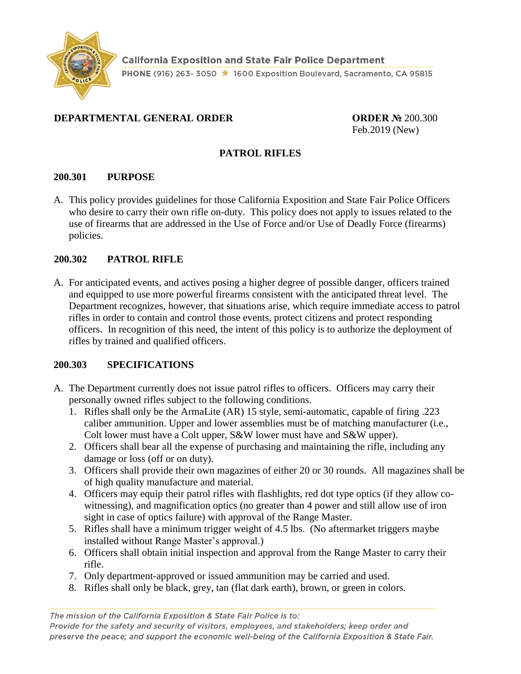

## **DEPARTMENTAL GENERAL ORDER ORDER №** 200.300

Feb.2019 (New)

### **PATROL RIFLES**

### **200.301 PURPOSE**

A. This policy provides guidelines for those California Exposition and State Fair Police Officers who desire to carry their own rifle on-duty. This policy does not apply to issues related to the use of firearms that are addressed in the Use of Force and/or Use of Deadly Force (firearms) policies.

### **200.302 PATROL RIFLE**

A. For anticipated events, and actives posing a higher degree of possible danger, officers trained and equipped to use more powerful firearms consistent with the anticipated threat level. The Department recognizes, however, that situations arise, which require immediate access to patrol rifles in order to contain and control those events, protect citizens and protect responding officers. In recognition of this need, the intent of this policy is to authorize the deployment of rifles by trained and qualified officers.

## **200.303 SPECIFICATIONS**

- A. The Department currently does not issue patrol rifles to officers. Officers may carry their personally owned rifles subject to the following conditions.
	- 1. Rifles shall only be the ArmaLite (AR) 15 style, semi-automatic, capable of firing .223 caliber ammunition. Upper and lower assemblies must be of matching manufacturer (i.e., Colt lower must have a Colt upper, S&W lower must have and S&W upper).
	- 2. Officers shall bear all the expense of purchasing and maintaining the rifle, including any damage or loss (off or on duty).
	- 3. Officers shall provide their own magazines of either 20 or 30 rounds. All magazines shall be of high quality manufacture and material.
	- 4. Officers may equip their patrol rifles with flashlights, red dot type optics (if they allow cowitnessing), and magnification optics (no greater than 4 power and still allow use of iron sight in case of optics failure) with approval of the Range Master.
	- 5. Rifles shall have a minimum trigger weight of 4.5 lbs. (No aftermarket triggers maybe installed without Range Master's approval.)
	- 6. Officers shall obtain initial inspection and approval from the Range Master to carry their rifle.
	- 7. Only department-approved or issued ammunition may be carried and used.
	- 8. Rifles shall only be black, grey, tan (flat dark earth), brown, or green in colors.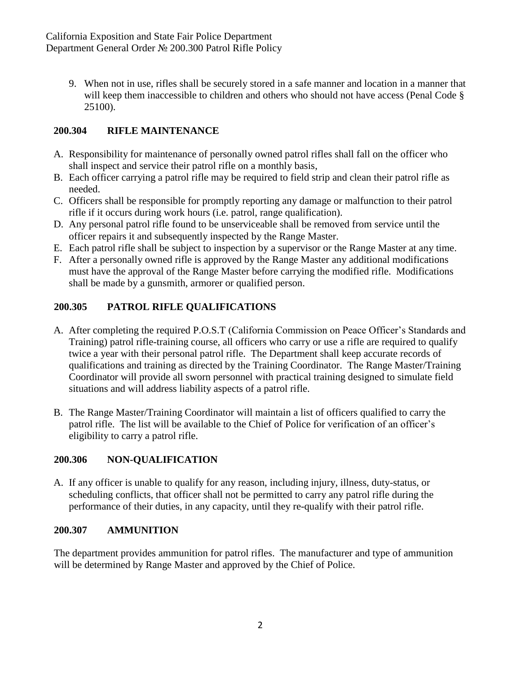9. When not in use, rifles shall be securely stored in a safe manner and location in a manner that will keep them inaccessible to children and others who should not have access (Penal Code § 25100).

# **200.304 RIFLE MAINTENANCE**

- A. Responsibility for maintenance of personally owned patrol rifles shall fall on the officer who shall inspect and service their patrol rifle on a monthly basis,
- B. Each officer carrying a patrol rifle may be required to field strip and clean their patrol rifle as needed.
- C. Officers shall be responsible for promptly reporting any damage or malfunction to their patrol rifle if it occurs during work hours (i.e. patrol, range qualification).
- D. Any personal patrol rifle found to be unserviceable shall be removed from service until the officer repairs it and subsequently inspected by the Range Master.
- E. Each patrol rifle shall be subject to inspection by a supervisor or the Range Master at any time.
- F. After a personally owned rifle is approved by the Range Master any additional modifications must have the approval of the Range Master before carrying the modified rifle. Modifications shall be made by a gunsmith, armorer or qualified person.

# **200.305 PATROL RIFLE QUALIFICATIONS**

- A. After completing the required P.O.S.T (California Commission on Peace Officer's Standards and Training) patrol rifle-training course, all officers who carry or use a rifle are required to qualify twice a year with their personal patrol rifle. The Department shall keep accurate records of qualifications and training as directed by the Training Coordinator. The Range Master/Training Coordinator will provide all sworn personnel with practical training designed to simulate field situations and will address liability aspects of a patrol rifle.
- B. The Range Master/Training Coordinator will maintain a list of officers qualified to carry the patrol rifle. The list will be available to the Chief of Police for verification of an officer's eligibility to carry a patrol rifle.

## **200.306 NON-QUALIFICATION**

A. If any officer is unable to qualify for any reason, including injury, illness, duty-status, or scheduling conflicts, that officer shall not be permitted to carry any patrol rifle during the performance of their duties, in any capacity, until they re-qualify with their patrol rifle.

## **200.307 AMMUNITION**

The department provides ammunition for patrol rifles. The manufacturer and type of ammunition will be determined by Range Master and approved by the Chief of Police.